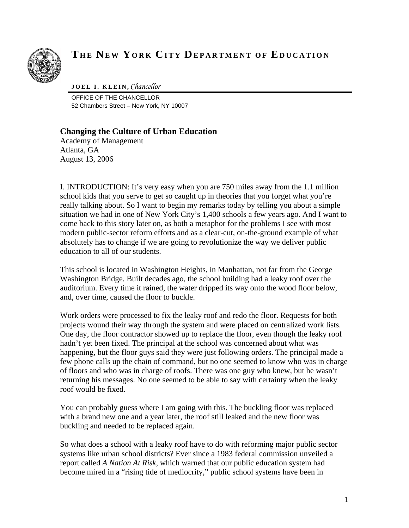

## **T H E NE W Y ORK CITY DEPARTMENT O F E DUCATION**

## **J O E L I . K L E I N ,** *Chancellor*

OFFICE OF THE CHANCELLOR 52 Chambers Street – New York, NY 10007

## **Changing the Culture of Urban Education**

Academy of Management Atlanta, GA August 13, 2006

I. INTRODUCTION: It's very easy when you are 750 miles away from the 1.1 million school kids that you serve to get so caught up in theories that you forget what you're really talking about. So I want to begin my remarks today by telling you about a simple situation we had in one of New York City's 1,400 schools a few years ago. And I want to come back to this story later on, as both a metaphor for the problems I see with most modern public-sector reform efforts and as a clear-cut, on-the-ground example of what absolutely has to change if we are going to revolutionize the way we deliver public education to all of our students.

This school is located in Washington Heights, in Manhattan, not far from the George Washington Bridge. Built decades ago, the school building had a leaky roof over the auditorium. Every time it rained, the water dripped its way onto the wood floor below, and, over time, caused the floor to buckle.

Work orders were processed to fix the leaky roof and redo the floor. Requests for both projects wound their way through the system and were placed on centralized work lists. One day, the floor contractor showed up to replace the floor, even though the leaky roof hadn't yet been fixed. The principal at the school was concerned about what was happening, but the floor guys said they were just following orders. The principal made a few phone calls up the chain of command, but no one seemed to know who was in charge of floors and who was in charge of roofs. There was one guy who knew, but he wasn't returning his messages. No one seemed to be able to say with certainty when the leaky roof would be fixed.

You can probably guess where I am going with this. The buckling floor was replaced with a brand new one and a year later, the roof still leaked and the new floor was buckling and needed to be replaced again.

So what does a school with a leaky roof have to do with reforming major public sector systems like urban school districts? Ever since a 1983 federal commission unveiled a report called *A Nation At Risk*, which warned that our public education system had become mired in a "rising tide of mediocrity," public school systems have been in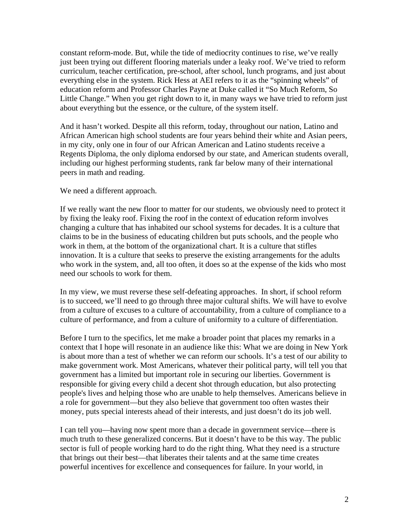constant reform-mode. But, while the tide of mediocrity continues to rise, we've really just been trying out different flooring materials under a leaky roof. We've tried to reform curriculum, teacher certification, pre-school, after school, lunch programs, and just about everything else in the system. Rick Hess at AEI refers to it as the "spinning wheels" of education reform and Professor Charles Payne at Duke called it "So Much Reform, So Little Change." When you get right down to it, in many ways we have tried to reform just about everything but the essence, or the culture, of the system itself.

And it hasn't worked. Despite all this reform, today, throughout our nation, Latino and African American high school students are four years behind their white and Asian peers, in my city, only one in four of our African American and Latino students receive a Regents Diploma, the only diploma endorsed by our state, and American students overall, including our highest performing students, rank far below many of their international peers in math and reading.

We need a different approach.

If we really want the new floor to matter for our students, we obviously need to protect it by fixing the leaky roof. Fixing the roof in the context of education reform involves changing a culture that has inhabited our school systems for decades. It is a culture that claims to be in the business of educating children but puts schools, and the people who work in them, at the bottom of the organizational chart. It is a culture that stifles innovation. It is a culture that seeks to preserve the existing arrangements for the adults who work in the system, and, all too often, it does so at the expense of the kids who most need our schools to work for them.

In my view, we must reverse these self-defeating approaches. In short, if school reform is to succeed, we'll need to go through three major cultural shifts. We will have to evolve from a culture of excuses to a culture of accountability, from a culture of compliance to a culture of performance, and from a culture of uniformity to a culture of differentiation.

Before I turn to the specifics, let me make a broader point that places my remarks in a context that I hope will resonate in an audience like this: What we are doing in New York is about more than a test of whether we can reform our schools. It's a test of our ability to make government work. Most Americans, whatever their political party, will tell you that government has a limited but important role in securing our liberties. Government is responsible for giving every child a decent shot through education, but also protecting people's lives and helping those who are unable to help themselves. Americans believe in a role for government—but they also believe that government too often wastes their money, puts special interests ahead of their interests, and just doesn't do its job well.

I can tell you—having now spent more than a decade in government service—there is much truth to these generalized concerns. But it doesn't have to be this way. The public sector is full of people working hard to do the right thing. What they need is a structure that brings out their best—that liberates their talents and at the same time creates powerful incentives for excellence and consequences for failure. In your world, in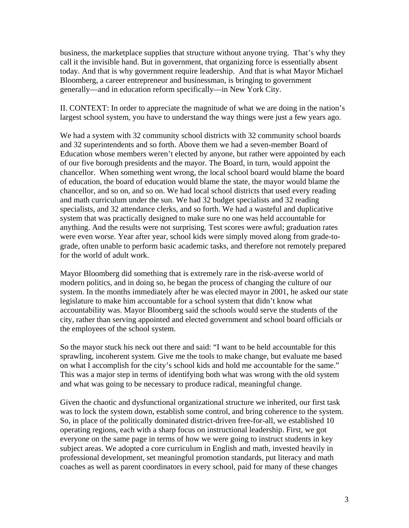business, the marketplace supplies that structure without anyone trying. That's why they call it the invisible hand. But in government, that organizing force is essentially absent today. And that is why government require leadership. And that is what Mayor Michael Bloomberg, a career entrepreneur and businessman, is bringing to government generally—and in education reform specifically—in New York City.

II. CONTEXT: In order to appreciate the magnitude of what we are doing in the nation's largest school system, you have to understand the way things were just a few years ago.

We had a system with 32 community school districts with 32 community school boards and 32 superintendents and so forth. Above them we had a seven-member Board of Education whose members weren't elected by anyone, but rather were appointed by each of our five borough presidents and the mayor. The Board, in turn, would appoint the chancellor. When something went wrong, the local school board would blame the board of education, the board of education would blame the state, the mayor would blame the chancellor, and so on, and so on. We had local school districts that used every reading and math curriculum under the sun. We had 32 budget specialists and 32 reading specialists, and 32 attendance clerks, and so forth. We had a wasteful and duplicative system that was practically designed to make sure no one was held accountable for anything. And the results were not surprising. Test scores were awful; graduation rates were even worse. Year after year, school kids were simply moved along from grade-tograde, often unable to perform basic academic tasks, and therefore not remotely prepared for the world of adult work.

Mayor Bloomberg did something that is extremely rare in the risk-averse world of modern politics, and in doing so, he began the process of changing the culture of our system. In the months immediately after he was elected mayor in 2001, he asked our state legislature to make him accountable for a school system that didn't know what accountability was. Mayor Bloomberg said the schools would serve the students of the city, rather than serving appointed and elected government and school board officials or the employees of the school system.

So the mayor stuck his neck out there and said: "I want to be held accountable for this sprawling, incoherent system. Give me the tools to make change, but evaluate me based on what I accomplish for the city's school kids and hold me accountable for the same." This was a major step in terms of identifying both what was wrong with the old system and what was going to be necessary to produce radical, meaningful change.

Given the chaotic and dysfunctional organizational structure we inherited, our first task was to lock the system down, establish some control, and bring coherence to the system. So, in place of the politically dominated district-driven free-for-all, we established 10 operating regions, each with a sharp focus on instructional leadership. First, we got everyone on the same page in terms of how we were going to instruct students in key subject areas. We adopted a core curriculum in English and math, invested heavily in professional development, set meaningful promotion standards, put literacy and math coaches as well as parent coordinators in every school, paid for many of these changes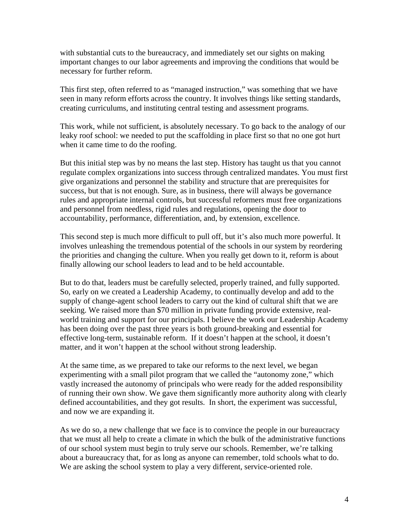with substantial cuts to the bureaucracy, and immediately set our sights on making important changes to our labor agreements and improving the conditions that would be necessary for further reform.

This first step, often referred to as "managed instruction," was something that we have seen in many reform efforts across the country. It involves things like setting standards, creating curriculums, and instituting central testing and assessment programs.

This work, while not sufficient, is absolutely necessary. To go back to the analogy of our leaky roof school: we needed to put the scaffolding in place first so that no one got hurt when it came time to do the roofing.

But this initial step was by no means the last step. History has taught us that you cannot regulate complex organizations into success through centralized mandates. You must first give organizations and personnel the stability and structure that are prerequisites for success, but that is not enough. Sure, as in business, there will always be governance rules and appropriate internal controls, but successful reformers must free organizations and personnel from needless, rigid rules and regulations, opening the door to accountability, performance, differentiation, and, by extension, excellence.

This second step is much more difficult to pull off, but it's also much more powerful. It involves unleashing the tremendous potential of the schools in our system by reordering the priorities and changing the culture. When you really get down to it, reform is about finally allowing our school leaders to lead and to be held accountable.

But to do that, leaders must be carefully selected, properly trained, and fully supported. So, early on we created a Leadership Academy, to continually develop and add to the supply of change-agent school leaders to carry out the kind of cultural shift that we are seeking. We raised more than \$70 million in private funding provide extensive, realworld training and support for our principals. I believe the work our Leadership Academy has been doing over the past three years is both ground-breaking and essential for effective long-term, sustainable reform. If it doesn't happen at the school, it doesn't matter, and it won't happen at the school without strong leadership.

At the same time, as we prepared to take our reforms to the next level, we began experimenting with a small pilot program that we called the "autonomy zone," which vastly increased the autonomy of principals who were ready for the added responsibility of running their own show. We gave them significantly more authority along with clearly defined accountabilities, and they got results. In short, the experiment was successful, and now we are expanding it.

As we do so, a new challenge that we face is to convince the people in our bureaucracy that we must all help to create a climate in which the bulk of the administrative functions of our school system must begin to truly serve our schools. Remember, we're talking about a bureaucracy that, for as long as anyone can remember, told schools what to do. We are asking the school system to play a very different, service-oriented role.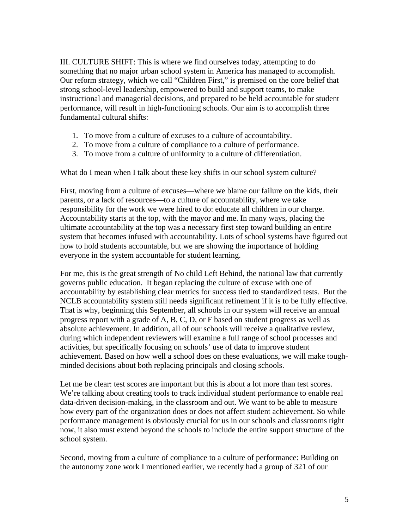III. CULTURE SHIFT: This is where we find ourselves today, attempting to do something that no major urban school system in America has managed to accomplish. Our reform strategy, which we call "Children First," is premised on the core belief that strong school-level leadership, empowered to build and support teams, to make instructional and managerial decisions, and prepared to be held accountable for student performance, will result in high-functioning schools. Our aim is to accomplish three fundamental cultural shifts:

- 1. To move from a culture of excuses to a culture of accountability.
- 2. To move from a culture of compliance to a culture of performance.
- 3. To move from a culture of uniformity to a culture of differentiation.

What do I mean when I talk about these key shifts in our school system culture?

First, moving from a culture of excuses—where we blame our failure on the kids, their parents, or a lack of resources—to a culture of accountability, where we take responsibility for the work we were hired to do: educate all children in our charge. Accountability starts at the top, with the mayor and me. In many ways, placing the ultimate accountability at the top was a necessary first step toward building an entire system that becomes infused with accountability. Lots of school systems have figured out how to hold students accountable, but we are showing the importance of holding everyone in the system accountable for student learning.

For me, this is the great strength of No child Left Behind, the national law that currently governs public education. It began replacing the culture of excuse with one of accountability by establishing clear metrics for success tied to standardized tests. But the NCLB accountability system still needs significant refinement if it is to be fully effective. That is why, beginning this September, all schools in our system will receive an annual progress report with a grade of A, B, C, D, or F based on student progress as well as absolute achievement. In addition, all of our schools will receive a qualitative review, during which independent reviewers will examine a full range of school processes and activities, but specifically focusing on schools' use of data to improve student achievement. Based on how well a school does on these evaluations, we will make toughminded decisions about both replacing principals and closing schools.

Let me be clear: test scores are important but this is about a lot more than test scores. We're talking about creating tools to track individual student performance to enable real data-driven decision-making, in the classroom and out. We want to be able to measure how every part of the organization does or does not affect student achievement. So while performance management is obviously crucial for us in our schools and classrooms right now, it also must extend beyond the schools to include the entire support structure of the school system.

Second, moving from a culture of compliance to a culture of performance: Building on the autonomy zone work I mentioned earlier, we recently had a group of 321 of our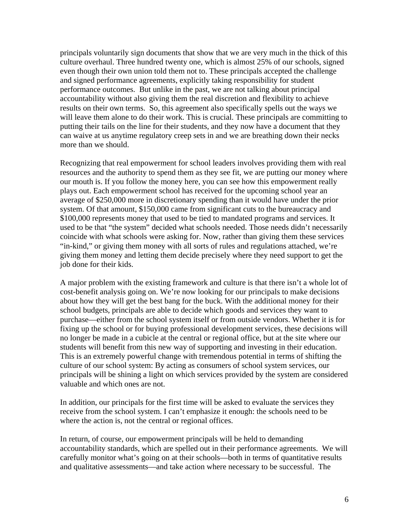principals voluntarily sign documents that show that we are very much in the thick of this culture overhaul. Three hundred twenty one, which is almost 25% of our schools, signed even though their own union told them not to. These principals accepted the challenge and signed performance agreements, explicitly taking responsibility for student performance outcomes. But unlike in the past, we are not talking about principal accountability without also giving them the real discretion and flexibility to achieve results on their own terms. So, this agreement also specifically spells out the ways we will leave them alone to do their work. This is crucial. These principals are committing to putting their tails on the line for their students, and they now have a document that they can waive at us anytime regulatory creep sets in and we are breathing down their necks more than we should.

Recognizing that real empowerment for school leaders involves providing them with real resources and the authority to spend them as they see fit, we are putting our money where our mouth is. If you follow the money here, you can see how this empowerment really plays out. Each empowerment school has received for the upcoming school year an average of \$250,000 more in discretionary spending than it would have under the prior system. Of that amount, \$150,000 came from significant cuts to the bureaucracy and \$100,000 represents money that used to be tied to mandated programs and services. It used to be that "the system" decided what schools needed. Those needs didn't necessarily coincide with what schools were asking for. Now, rather than giving them these services "in-kind," or giving them money with all sorts of rules and regulations attached, we're giving them money and letting them decide precisely where they need support to get the job done for their kids.

A major problem with the existing framework and culture is that there isn't a whole lot of cost-benefit analysis going on. We're now looking for our principals to make decisions about how they will get the best bang for the buck. With the additional money for their school budgets, principals are able to decide which goods and services they want to purchase—either from the school system itself or from outside vendors. Whether it is for fixing up the school or for buying professional development services, these decisions will no longer be made in a cubicle at the central or regional office, but at the site where our students will benefit from this new way of supporting and investing in their education. This is an extremely powerful change with tremendous potential in terms of shifting the culture of our school system: By acting as consumers of school system services, our principals will be shining a light on which services provided by the system are considered valuable and which ones are not.

In addition, our principals for the first time will be asked to evaluate the services they receive from the school system. I can't emphasize it enough: the schools need to be where the action is, not the central or regional offices.

In return, of course, our empowerment principals will be held to demanding accountability standards, which are spelled out in their performance agreements. We will carefully monitor what's going on at their schools—both in terms of quantitative results and qualitative assessments—and take action where necessary to be successful. The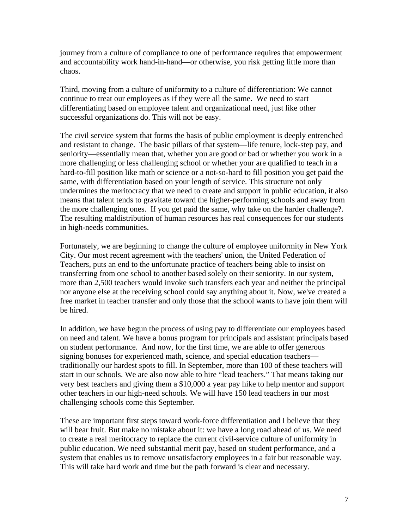journey from a culture of compliance to one of performance requires that empowerment and accountability work hand-in-hand—or otherwise, you risk getting little more than chaos.

Third, moving from a culture of uniformity to a culture of differentiation: We cannot continue to treat our employees as if they were all the same. We need to start differentiating based on employee talent and organizational need, just like other successful organizations do. This will not be easy.

The civil service system that forms the basis of public employment is deeply entrenched and resistant to change. The basic pillars of that system—life tenure, lock-step pay, and seniority—essentially mean that, whether you are good or bad or whether you work in a more challenging or less challenging school or whether your are qualified to teach in a hard-to-fill position like math or science or a not-so-hard to fill position you get paid the same, with differentiation based on your length of service. This structure not only undermines the meritocracy that we need to create and support in public education, it also means that talent tends to gravitate toward the higher-performing schools and away from the more challenging ones. If you get paid the same, why take on the harder challenge?. The resulting maldistribution of human resources has real consequences for our students in high-needs communities.

Fortunately, we are beginning to change the culture of employee uniformity in New York City. Our most recent agreement with the teachers' union, the United Federation of Teachers, puts an end to the unfortunate practice of teachers being able to insist on transferring from one school to another based solely on their seniority. In our system, more than 2,500 teachers would invoke such transfers each year and neither the principal nor anyone else at the receiving school could say anything about it. Now, we've created a free market in teacher transfer and only those that the school wants to have join them will be hired.

In addition, we have begun the process of using pay to differentiate our employees based on need and talent. We have a bonus program for principals and assistant principals based on student performance. And now, for the first time, we are able to offer generous signing bonuses for experienced math, science, and special education teachers traditionally our hardest spots to fill. In September, more than 100 of these teachers will start in our schools. We are also now able to hire "lead teachers." That means taking our very best teachers and giving them a \$10,000 a year pay hike to help mentor and support other teachers in our high-need schools. We will have 150 lead teachers in our most challenging schools come this September.

These are important first steps toward work-force differentiation and I believe that they will bear fruit. But make no mistake about it: we have a long road ahead of us. We need to create a real meritocracy to replace the current civil-service culture of uniformity in public education. We need substantial merit pay, based on student performance, and a system that enables us to remove unsatisfactory employees in a fair but reasonable way. This will take hard work and time but the path forward is clear and necessary.